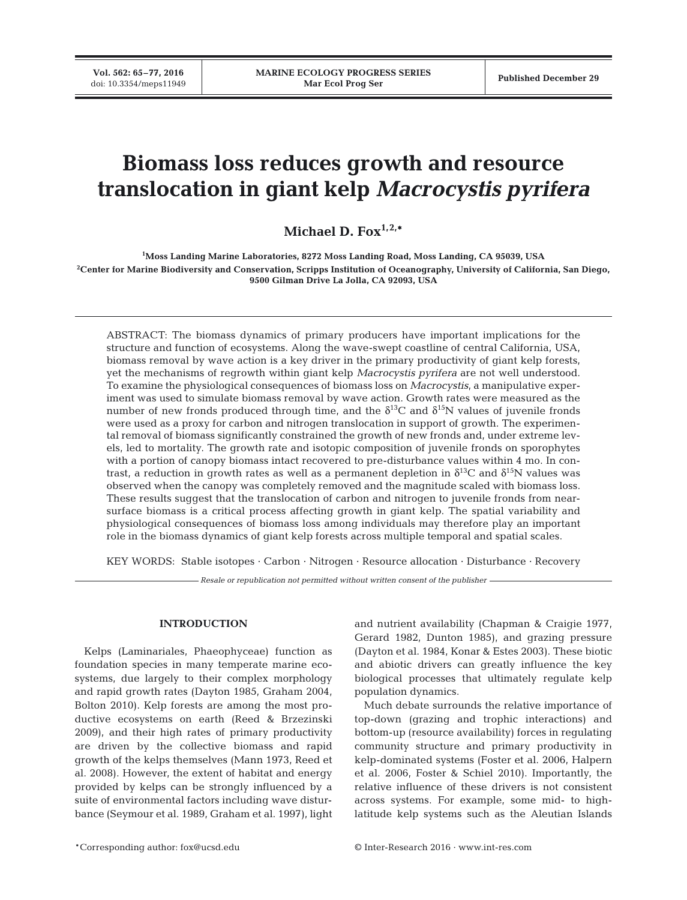**Vol. 562: 65–77, 2016**

# **Biomass loss reduces growth and resource translocation in giant kelp** *Macrocystis pyrifera*

**Michael D. Fox1,2,\***

**1 Moss Landing Marine Laboratories, 8272 Moss Landing Road, Moss Landing, CA 95039, USA 2 Center for Marine Biodiversity and Conservation, Scripps Institution of Oceanography, University of California, San Diego, 9500 Gilman Drive La Jolla, CA 92093, USA**

ABSTRACT: The biomass dynamics of primary producers have important implications for the structure and function of ecosystems. Along the wave-swept coastline of central California, USA, biomass removal by wave action is a key driver in the primary productivity of giant kelp forests, yet the mechanisms of regrowth within giant kelp *Macrocystis pyrifera* are not well understood. To examine the physiological consequences of biomass loss on *Macrocystis*, a manipulative experiment was used to simulate biomass removal by wave action. Growth rates were measured as the number of new fronds produced through time, and the  $\delta^{13}C$  and  $\delta^{15}N$  values of juvenile fronds were used as a proxy for carbon and nitrogen translocation in support of growth. The experimental removal of biomass significantly constrained the growth of new fronds and, under extreme levels, led to mortality. The growth rate and isotopic composition of juvenile fronds on sporophytes with a portion of canopy biomass intact recovered to pre-disturbance values within 4 mo. In contrast, a reduction in growth rates as well as a permanent depletion in  $\delta^{13}C$  and  $\delta^{15}N$  values was observed when the canopy was completely removed and the magnitude scaled with biomass loss. These results suggest that the translocation of carbon and nitrogen to juvenile fronds from nearsurface biomass is a critical process affecting growth in giant kelp. The spatial variability and physiological consequences of biomass loss among individuals may therefore play an important role in the biomass dynamics of giant kelp forests across multiple temporal and spatial scales.

KEY WORDS: Stable isotopes · Carbon · Nitrogen · Resource allocation · Disturbance · Recovery

*Resale or republication not permitted without written consent of the publisher*

## **INTRODUCTION**

Kelps (Laminariales, Phaeophyceae) function as foundation species in many temperate marine ecosystems, due largely to their complex morphology and rapid growth rates (Dayton 1985, Graham 2004, Bolton 2010). Kelp forests are among the most productive ecosystems on earth (Reed & Brzezinski 2009), and their high rates of primary productivity are driven by the collective biomass and rapid growth of the kelps themselves (Mann 1973, Reed et al. 2008). However, the extent of habitat and energy provided by kelps can be strongly influenced by a suite of environmental factors including wave disturbance (Seymour et al. 1989, Graham et al. 1997), light

and nutrient availability (Chapman & Craigie 1977, Gerard 1982, Dunton 1985), and grazing pressure (Dayton et al. 1984, Konar & Estes 2003). These biotic and abiotic drivers can greatly influence the key biological processes that ultimately regulate kelp population dynamics.

Much debate surrounds the relative importance of top-down (grazing and trophic interactions) and bottom-up (resource availability) forces in regulating community structure and primary productivity in kelp-dominated systems (Foster et al. 2006, Halpern et al. 2006, Foster & Schiel 2010). Importantly, the relative influence of these drivers is not consistent across systems. For example, some mid- to highlatitude kelp systems such as the Aleutian Islands

\*Corresponding author: fox@ucsd.edu © Inter-Research 2016 · www.int-res.com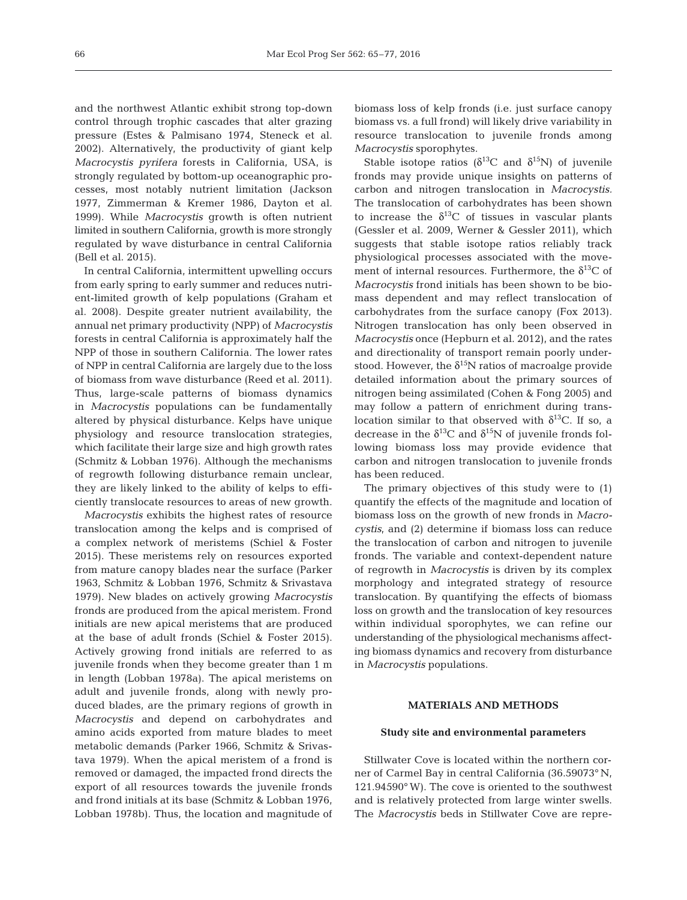and the northwest Atlantic exhibit strong top-down control through trophic cascades that alter grazing pressure (Estes & Palmisano 1974, Steneck et al. 2002). Alternatively, the productivity of giant kelp *Macrocystis pyrifera* forests in California, USA, is strongly regulated by bottom-up oceanographic processes, most notably nutrient limitation (Jackson 1977, Zimmerman & Kremer 1986, Dayton et al. 1999). While *Macrocystis* growth is often nutrient limited in southern California, growth is more strongly regulated by wave disturbance in central California (Bell et al. 2015).

In central California, intermittent upwelling occurs from early spring to early summer and reduces nutrient-limited growth of kelp populations (Graham et al. 2008). Despite greater nutrient availability, the annual net primary productivity (NPP) of *Macrocystis* forests in central California is approximately half the NPP of those in southern California. The lower rates of NPP in central California are largely due to the loss of biomass from wave disturbance (Reed et al. 2011). Thus, large-scale patterns of biomass dynamics in *Macrocystis* populations can be fundamentally altered by physical disturbance. Kelps have unique physiology and resource translocation strategies, which facilitate their large size and high growth rates (Schmitz & Lobban 1976). Although the mechanisms of regrowth following disturbance remain unclear, they are likely linked to the ability of kelps to efficiently translocate resources to areas of new growth.

*Macrocystis* exhibits the highest rates of resource translocation among the kelps and is comprised of a complex network of meristems (Schiel & Foster 2015). These meristems rely on resources exported from mature canopy blades near the surface (Parker 1963, Schmitz & Lobban 1976, Schmitz & Srivastava 1979). New blades on actively growing *Macrocystis* fronds are produced from the apical meristem. Frond initials are new apical meristems that are produced at the base of adult fronds (Schiel & Foster 2015). Actively growing frond initials are referred to as juvenile fronds when they become greater than 1 m in length (Lobban 1978a). The apical meristems on adult and juvenile fronds, along with newly produced blades, are the primary regions of growth in *Macrocystis* and depend on carbohydrates and amino acids exported from mature blades to meet metabolic demands (Parker 1966, Schmitz & Srivastava 1979). When the apical meristem of a frond is removed or damaged, the impacted frond directs the export of all resources towards the juvenile fronds and frond initials at its base (Schmitz & Lobban 1976, Lobban 1978b). Thus, the location and magnitude of

biomass loss of kelp fronds (i.e. just surface canopy biomass vs. a full frond) will likely drive variability in resource translocation to juvenile fronds among *Macrocystis* sporophytes.

Stable isotope ratios ( $\delta^{13}$ C and  $\delta^{15}$ N) of juvenile fronds may provide unique insights on patterns of carbon and nitrogen translocation in *Macrocystis.* The translocation of carbohydrates has been shown to increase the  $\delta^{13}$ C of tissues in vascular plants (Gessler et al. 2009, Werner & Gessler 2011), which suggests that stable isotope ratios reliably track physiological processes associated with the movement of internal resources. Furthermore, the  $\delta^{13}C$  of *Macrocystis* frond initials has been shown to be biomass dependent and may reflect translocation of carbohydrates from the surface canopy (Fox 2013). Nitrogen translocation has only been observed in *Macrocystis* once (Hepburn et al. 2012), and the rates and directionality of transport remain poorly understood. However, the  $\delta^{15}N$  ratios of macroalge provide detailed information about the primary sources of nitrogen being assimilated (Cohen & Fong 2005) and may follow a pattern of enrichment during translocation similar to that observed with  $\delta^{13}$ C. If so, a decrease in the  $\delta^{13}$ C and  $\delta^{15}$ N of juvenile fronds following biomass loss may provide evidence that carbon and nitrogen translocation to juvenile fronds has been reduced.

The primary objectives of this study were to (1) quantify the effects of the magnitude and location of biomass loss on the growth of new fronds in *Macrocystis*, and (2) determine if biomass loss can reduce the translocation of carbon and nitrogen to juvenile fronds. The variable and context-dependent nature of regrowth in *Macrocystis* is driven by its complex morphology and integrated strategy of resource translocation. By quantifying the effects of biomass loss on growth and the translocation of key resources within individual sporophytes, we can refine our understanding of the physiological mechanisms affecting biomass dynamics and recovery from disturbance in *Macrocystis* populations.

# **MATERIALS AND METHODS**

#### **Study site and environmental parameters**

Stillwater Cove is located within the northern corner of Carmel Bay in central California (36.59073° N, 121.94590° W). The cove is oriented to the southwest and is relatively protected from large winter swells. The *Macrocystis* beds in Stillwater Cove are repre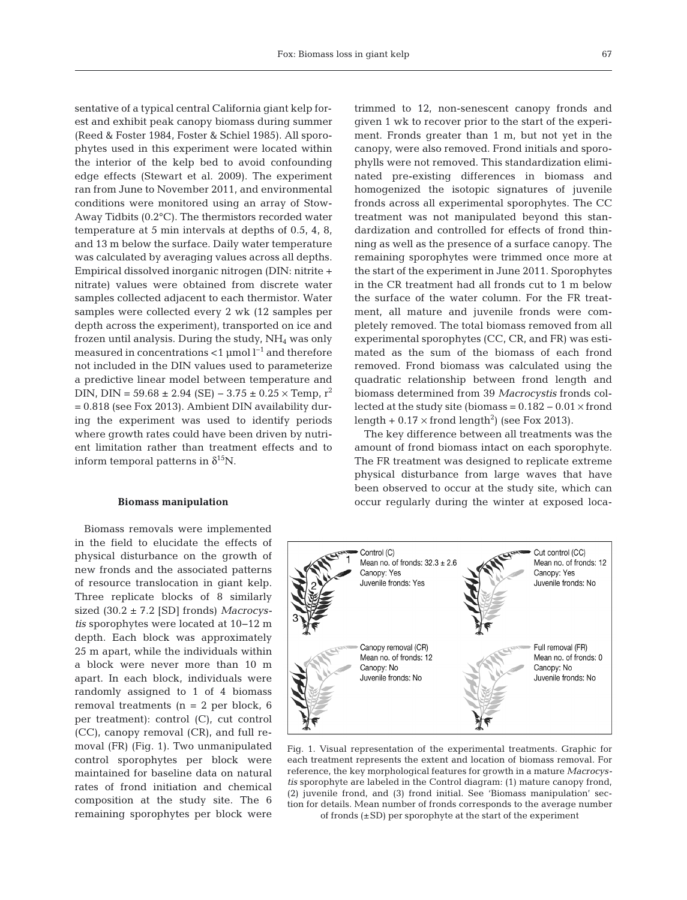sentative of a typical central California giant kelp forest and exhibit peak canopy biomass during summer (Reed & Foster 1984, Foster & Schiel 1985). All sporophytes used in this experiment were located within the interior of the kelp bed to avoid confounding edge effects (Stewart et al. 2009). The experiment ran from June to November 2011, and environmental conditions were monitored using an array of Stow-Away Tidbits (0.2°C). The thermistors recorded water temperature at 5 min intervals at depths of 0.5, 4, 8, and 13 m below the surface. Daily water temperature was calculated by averaging values across all depths. Empirical dissolved inorganic nitrogen (DIN: nitrite + nitrate) values were obtained from discrete water samples collected adjacent to each thermistor. Water samples were collected every 2 wk (12 samples per depth across the experiment), transported on ice and frozen until analysis. During the study,  $NH<sub>4</sub>$  was only measured in concentrations <1 µmol  $l^{-1}$  and therefore not included in the DIN values used to parameterize a predictive linear model between temperature and DIN, DIN =  $59.68 \pm 2.94$  (SE) –  $3.75 \pm 0.25 \times$  Temp, r<sup>2</sup> = 0.818 (see Fox 2013). Ambient DIN availability during the experiment was used to identify periods where growth rates could have been driven by nutrient limitation rather than treatment effects and to inform temporal patterns in  $\delta^{15}N$ .

#### **Biomass manipulation**

Biomass removals were implemented in the field to elucidate the effects of physical disturbance on the growth of new fronds and the associated patterns of resource translocation in giant kelp. Three replicate blocks of 8 similarly sized (30.2 ± 7.2 [SD] fronds) *Macrocystis* sporophytes were located at 10−12 m depth. Each block was approximately 25 m apart, while the individuals within a block were never more than 10 m apart. In each block, individuals were randomly assigned to 1 of 4 biomass removal treatments ( $n = 2$  per block, 6 per treatment): control (C), cut control (CC), canopy removal (CR), and full re moval (FR) (Fig. 1). Two unmanipulated control sporophytes per block were maintained for baseline data on natural rates of frond initiation and chemical composition at the study site. The 6 remaining sporophytes per block were

trimmed to 12, non-senescent canopy fronds and given 1 wk to recover prior to the start of the experiment. Fronds greater than 1 m, but not yet in the canopy, were also removed. Frond initials and sporophylls were not removed. This standardization eliminated pre-existing differences in biomass and homogenized the isotopic signatures of juvenile fronds across all experimental sporophytes. The CC treatment was not manipulated beyond this standardization and controlled for effects of frond thinning as well as the presence of a surface canopy. The remaining sporophytes were trimmed once more at the start of the experiment in June 2011. Sporophytes in the CR treatment had all fronds cut to 1 m below the surface of the water column. For the FR treatment, all mature and juvenile fronds were completely removed. The total biomass removed from all experimental sporophytes (CC, CR, and FR) was estimated as the sum of the biomass of each frond removed. Frond biomass was calculated using the quadratic relationship between frond length and biomass determined from 39 *Macrocystis* fronds collected at the study site (biomass =  $0.182 - 0.01 \times$  frond length +  $0.17 \times$  frond length<sup>2</sup>) (see Fox 2013).

The key difference between all treatments was the amount of frond biomass intact on each sporophyte. The FR treatment was designed to replicate extreme physical disturbance from large waves that have been observed to occur at the study site, which can occur regularly during the winter at exposed loca-



Fig. 1. Visual representation of the experimental treatments. Graphic for each treatment represents the extent and location of biomass removal. For reference, the key morphological features for growth in a mature *Macrocystis* sporophyte are labeled in the Control diagram: (1) mature canopy frond, (2) juvenile frond, and (3) frond initial. See 'Biomass manipulation' sec tion for details. Mean number of fronds corresponds to the average number of fronds (±SD) per sporophyte at the start of the experiment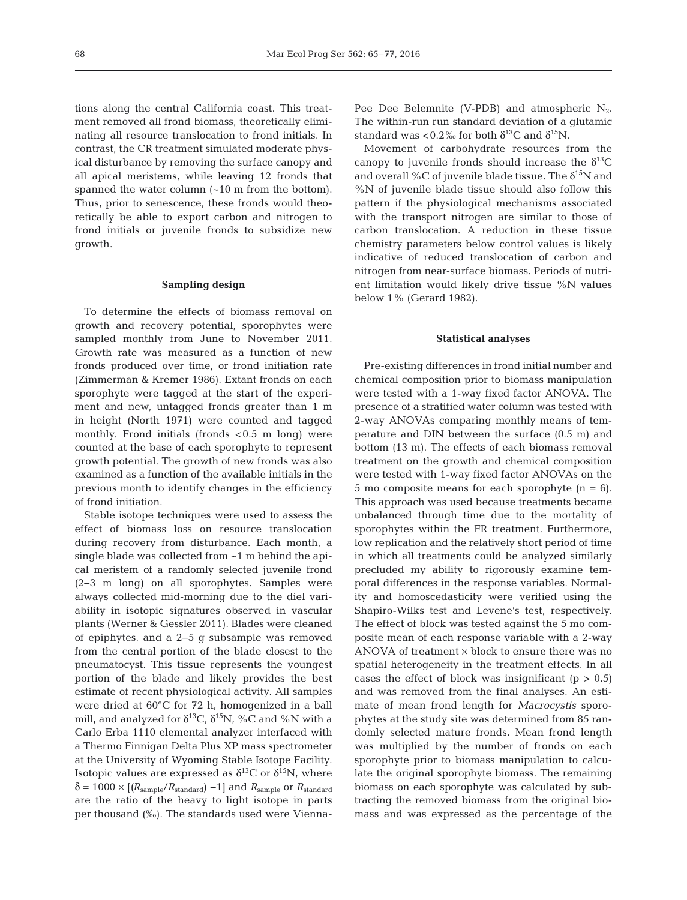tions along the central California coast. This treatment removed all frond biomass, theoretically eliminating all resource translocation to frond initials. In contrast, the CR treatment simulated moderate physical disturbance by removing the surface canopy and all apical meristems, while leaving 12 fronds that spanned the water column (~10 m from the bottom). Thus, prior to senescence, these fronds would theoretically be able to export carbon and nitrogen to frond initials or juvenile fronds to subsidize new growth.

# **Sampling design**

To determine the effects of biomass removal on growth and recovery potential, sporophytes were sampled monthly from June to November 2011. Growth rate was measured as a function of new fronds produced over time, or frond initiation rate (Zimmerman & Kremer 1986). Extant fronds on each sporophyte were tagged at the start of the experiment and new, untagged fronds greater than 1 m in height (North 1971) were counted and tagged monthly. Frond initials (fronds  $< 0.5$  m long) were counted at the base of each sporophyte to represent growth potential. The growth of new fronds was also examined as a function of the available initials in the previous month to identify changes in the efficiency of frond initiation.

Stable isotope techniques were used to assess the effect of biomass loss on resource translocation during recovery from disturbance. Each month, a single blade was collected from ~1 m behind the apical meristem of a randomly selected juvenile frond (2−3 m long) on all sporophytes. Samples were always collected mid-morning due to the diel variability in isotopic signatures observed in vascular plants (Werner & Gessler 2011). Blades were cleaned of epiphytes, and a 2−5 g subsample was removed from the central portion of the blade closest to the pneumatocyst. This tissue represents the youngest portion of the blade and likely provides the best estimate of recent physiological activity. All samples were dried at 60°C for 72 h, homogenized in a ball mill, and analyzed for  $\delta^{13}C$ ,  $\delta^{15}N$ , %C and %N with a Carlo Erba 1110 elemental analyzer interfaced with a Thermo Finnigan Delta Plus XP mass spectrometer at the University of Wyoming Stable Isotope Facility. Isotopic values are expressed as  $\delta^{13}$ C or  $\delta^{15}$ N, where  $\delta = 1000 \times [(R_{\text{sample}}/R_{\text{standard}}) - 1]$  and  $R_{\text{sample}}$  or  $R_{\text{standard}}$ are the ratio of the heavy to light isotope in parts per thousand (‰). The standards used were ViennaPee Dee Belemnite (V-PDB) and atmospheric  $N_2$ . The within-run run standard deviation of a glutamic standard was <0.2% for both  $\delta^{13}$ C and  $\delta^{15}$ N.

Movement of carbohydrate resources from the canopy to juvenile fronds should increase the  $\delta^{13}$ C and overall %C of juvenile blade tissue. The  $\delta^{15}N$  and %N of juvenile blade tissue should also follow this pattern if the physiological mechanisms associated with the transport nitrogen are similar to those of carbon translocation. A reduction in these tissue chemistry parameters below control values is likely indicative of reduced translocation of carbon and nitrogen from near-surface biomass. Periods of nutrient limitation would likely drive tissue %N values below 1% (Gerard 1982).

#### **Statistical analyses**

Pre-existing differences in frond initial number and chemical composition prior to biomass manipulation were tested with a 1-way fixed factor ANOVA. The presence of a stratified water column was tested with 2-way ANOVAs comparing monthly means of temperature and DIN between the surface (0.5 m) and bottom (13 m). The effects of each biomass removal treatment on the growth and chemical composition were tested with 1-way fixed factor ANOVAs on the 5 mo composite means for each sporophyte  $(n = 6)$ . This approach was used because treatments became unbalanced through time due to the mortality of sporophytes within the FR treatment. Furthermore, low replication and the relatively short period of time in which all treatments could be analyzed similarly precluded my ability to rigorously examine temporal differences in the response variables. Normality and homoscedasticity were verified using the Shapiro-Wilks test and Levene's test, respectively. The effect of block was tested against the 5 mo composite mean of each response variable with a 2-way ANOVA of treatment  $\times$  block to ensure there was no spatial heterogeneity in the treatment effects. In all cases the effect of block was insignificant  $(p > 0.5)$ and was removed from the final analyses. An estimate of mean frond length for *Macrocystis* sporophytes at the study site was determined from 85 randomly selected mature fronds. Mean frond length was multiplied by the number of fronds on each sporophyte prior to biomass manipulation to calculate the original sporophyte biomass. The remaining biomass on each sporophyte was calculated by subtracting the removed biomass from the original biomass and was expressed as the percentage of the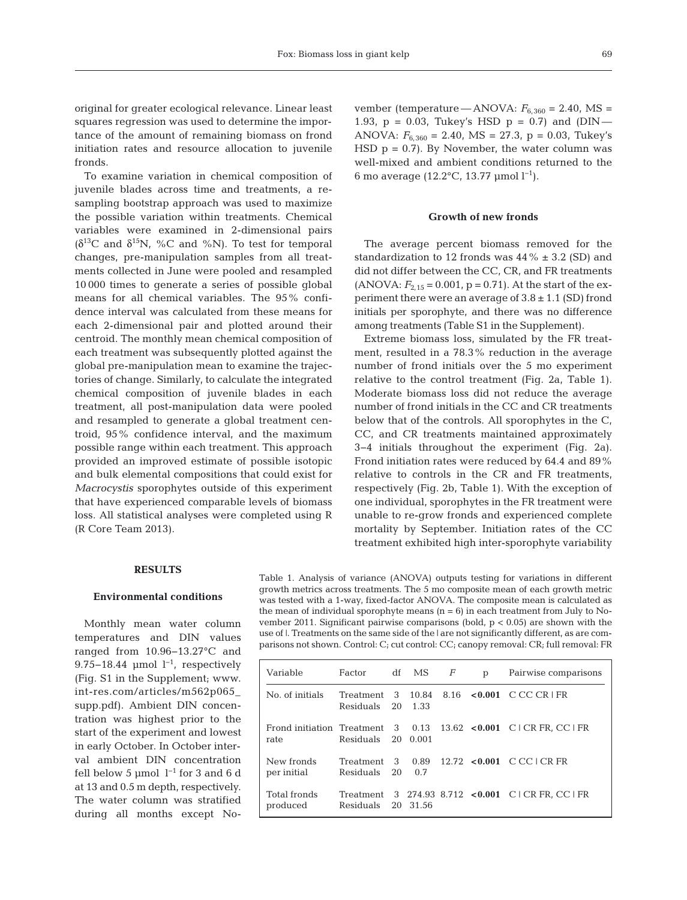original for greater ecological relevance. Linear least squares regression was used to determine the importance of the amount of remaining biomass on frond initiation rates and resource allocation to juvenile fronds.

To examine variation in chemical composition of juvenile blades across time and treatments, a resampling bootstrap approach was used to maximize the possible variation within treatments. Chemical variables were examined in 2-dimensional pairs ( $δ<sup>13</sup>C$  and  $δ<sup>15</sup>N$ , %C and %N). To test for temporal changes, pre-manipulation samples from all treatments collected in June were pooled and resampled 10 000 times to generate a series of possible global means for all chemical variables. The 95% confidence interval was calculated from these means for each 2-dimensional pair and plotted around their centroid. The monthly mean chemical composition of each treatment was subsequently plotted against the global pre-manipulation mean to examine the trajectories of change. Similarly, to calculate the integrated chemical composition of juvenile blades in each treatment, all post-manipulation data were pooled and resampled to generate a global treatment centroid, 95% confidence interval, and the maximum possible range within each treatment. This approach provided an improved estimate of possible isotopic and bulk elemental compositions that could exist for *Macrocystis* sporophytes outside of this experiment that have experienced comparable levels of biomass loss. All statistical analyses were completed using R (R Core Team 2013).

vember (temperature — ANOVA:  $F_{6,360} = 2.40$ , MS = 1.93,  $p = 0.03$ , Tukey's HSD  $p = 0.7$ ) and (DIN — ANOVA:  $F_{6,360} = 2.40$ , MS = 27.3, p = 0.03, Tukey's HSD  $p = 0.7$ ). By November, the water column was well-mixed and ambient conditions returned to the 6 mo average (12.2°C, 13.77 µmol l−1).

## **Growth of new fronds**

The average percent biomass removed for the standardization to 12 fronds was  $44\% \pm 3.2$  (SD) and did not differ between the CC, CR, and FR treatments  $(ANOVA: F<sub>2.15</sub> = 0.001, p = 0.71)$ . At the start of the experiment there were an average of  $3.8 \pm 1.1$  (SD) frond initials per sporophyte, and there was no difference among treatments (Table S1 in the Supplement).

Extreme biomass loss, simulated by the FR treatment, resulted in a 78.3% reduction in the average number of frond initials over the 5 mo experiment relative to the control treatment (Fig. 2a, Table 1). Moderate biomass loss did not reduce the average number of frond initials in the CC and CR treatments below that of the controls. All sporophytes in the C, CC, and CR treatments maintained approximately 3−4 initials throughout the experiment (Fig. 2a). Frond initiation rates were reduced by 64.4 and 89% relative to controls in the CR and FR treatments, respectively (Fig. 2b, Table 1). With the exception of one individual, sporophytes in the FR treatment were unable to re-grow fronds and experienced complete mortality by September. Initiation rates of the CC treatment exhibited high inter-sporophyte variability

#### **RESULTS**

## **Environmental conditions**

Monthly mean water column temperatures and DIN values ranged from 10.96−13.27°C and 9.75−18.44 µmol  $l^{-1}$ , respectively (Fig. S1 in the Supplement; www. int-res.com/articles/m562p065\_ supp. pdf). Ambient DIN concentration was highest prior to the start of the experiment and lowest in early October. In October interval ambient DIN concentration fell below 5 µmol  $l^{-1}$  for 3 and 6 d at 13 and 0.5 m depth, respectively. The water column was stratified during all months except NoTable 1. Analysis of variance (ANOVA) outputs testing for variations in different growth metrics across treatments. The 5 mo composite mean of each growth metric was tested with a 1-way, fixed-factor ANOVA. The composite mean is calculated as the mean of individual sporophyte means  $(n = 6)$  in each treatment from July to November 2011. Significant pairwise comparisons (bold,  $p < 0.05$ ) are shown with the use of |. Treatments on the same side of the | are not significantly different, as are comparisons not shown. Control: C; cut control: CC; canopy removal: CR; full removal: FR

| Variable                  | Factor                        |          | df MS    | F | p | Pairwise comparisons                                             |
|---------------------------|-------------------------------|----------|----------|---|---|------------------------------------------------------------------|
| No. of initials           | Treatment 3<br>Residuals 20   |          | 1.33     |   |   | 10.84 8.16 < 0.001 C CC CR FR                                    |
| rate                      | Residuals 20 0.001            |          |          |   |   | Frond initiation Treatment $3$ 0.13 13.62 < 0.001 C CR FR. CC FR |
| New fronds<br>per initial | Treatment<br><b>Residuals</b> | -3<br>20 | 0.7      |   |   | 0.89 $12.72 \le 0.001$ C CC I CR FR                              |
| Total fronds<br>produced  | <b>Residuals</b>              |          | 20 31.56 |   |   | Treatment 3 274.93 8.712 < 0.001 C CR FR. CC FR                  |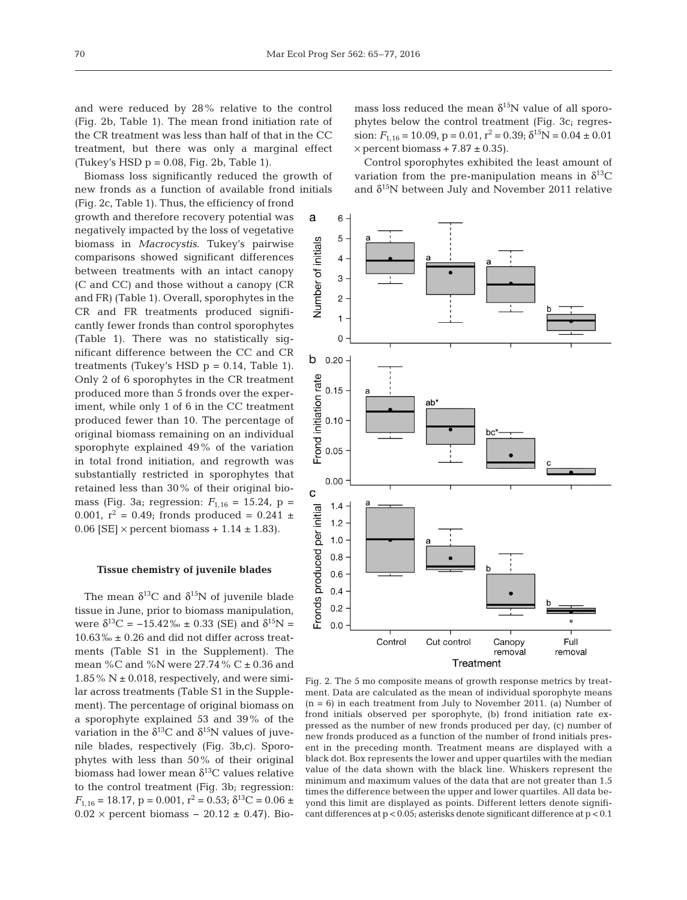and were reduced by 28% relative to the control (Fig. 2b, Table 1). The mean frond initiation rate of the CR treatment was less than half of that in the CC treatment, but there was only a marginal effect (Tukey's HSD  $p = 0.08$ , Fig. 2b, Table 1).

Biomass loss significantly reduced the growth of new fronds as a function of available frond initials (Fig. 2c, Table 1). Thus, the efficiency of frond growth and therefore recovery potential was negatively im pacted by the loss of vegetative biomass in *Macrocystis*. Tukey's pairwise comparisons showed significant differences between treatments with an intact canopy (C and CC) and those without a canopy (CR and FR) (Table 1). Overall, sporophytes in the CR and FR treatments produced significantly fewer fronds than control sporophytes (Table 1). There was no statistically significant difference between the CC and CR treatments (Tukey's HSD  $p = 0.14$ , Table 1). Only 2 of 6 sporophytes in the CR treatment produced more than 5 fronds over the experiment, while only 1 of 6 in the CC treatment produced fewer than 10. The percentage of original biomass remaining on an individual sporophyte explained  $49\%$  of the variation in total frond initiation, and regrowth was substantially restricted in sporophytes that retained less than 30% of their original biomass (Fig. 3a; regression:  $F_{1,16} = 15.24$ , p = 0.001,  $r^2 = 0.49$ ; fronds produced = 0.241  $\pm$ 0.06 [SE]  $\times$  percent biomass + 1.14  $\pm$  1.83).

#### **Tissue chemistry of juvenile blades**

The mean  $\delta^{13}$ C and  $\delta^{15}$ N of juvenile blade tissue in June, prior to biomass manipulation, were  $\delta^{13}C = -15.42\% \pm 0.33$  (SE) and  $\delta^{15}N =$  $10.63\% \pm 0.26$  and did not differ across treatments (Table S1 in the Supplement). The mean %C and %N were  $27.74$  % C  $\pm$  0.36 and 1.85% N  $\pm$  0.018, respectively, and were similar across treatments (Table S1 in the Supplement). The percentage of original biomass on a sporophyte explained 53 and 39% of the variation in the  $\delta^{13}$ C and  $\delta^{15}$ N values of juvenile blades, respectively (Fig. 3b,c). Sporophytes with less than 50% of their original biomass had lower mean  $\delta^{13}$ C values relative to the control treatment (Fig. 3b; regression:  $F_{1,16} = 18.17$ ,  $p = 0.001$ ,  $r^2 = 0.53$ ;  $\delta^{13}C = 0.06 \pm \delta$  $0.02 \times$  percent biomass –  $20.12 \pm 0.47$ ). Bio-

mass loss reduced the mean  $\delta^{15}N$  value of all sporophytes below the control treatment (Fig. 3c; regression:  $F_{1,16} = 10.09$ ,  $p = 0.01$ ,  $r^2 = 0.39$ ;  $\delta^{15}N = 0.04 \pm 0.01$  $\times$  percent biomass + 7.87  $\pm$  0.35).

Control sporophytes exhibited the least amount of variation from the pre-manipulation means in  $\delta^{13}C$ and  $\delta^{15}N$  between July and November 2011 relative



Fig. 2. The 5 mo composite means of growth response metrics by treatment. Data are calculated as the mean of individual sporophyte means  $(n = 6)$  in each treatment from July to November 2011. (a) Number of frond initials observed per sporophyte, (b) frond initiation rate expressed as the number of new fronds produced per day, (c) number of new fronds produced as a function of the number of frond initials present in the preceding month. Treatment means are displayed with a black dot. Box represents the lower and upper quartiles with the median value of the data shown with the black line. Whiskers represent the minimum and maximum values of the data that are not greater than 1.5 times the difference between the upper and lower quartiles. All data beyond this limit are displayed as points. Different letters denote significant differences at p < 0.05; asterisks denote significant difference at p < 0.1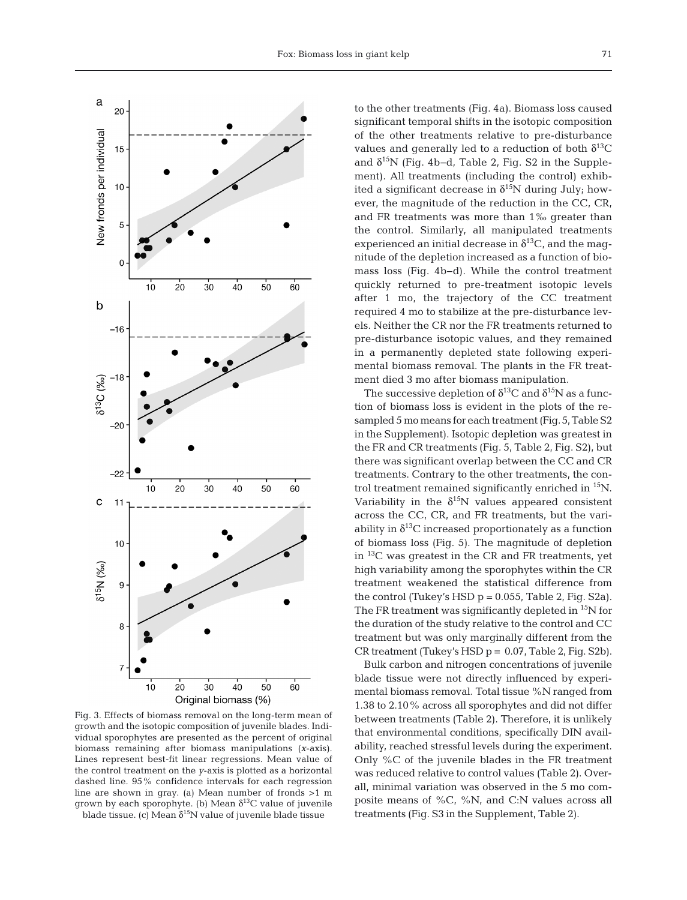

Fig. 3. Effects of biomass removal on the long-term mean of growth and the isotopic composition of juvenile blades. Individual sporophytes are presented as the percent of original biomass remaining after biomass manipulations (*x*-axis). Lines represent best-fit linear regressions. Mean value of the control treatment on the *y*-axis is plotted as a horizontal dashed line. 95% confidence intervals for each regression line are shown in gray. (a) Mean number of fronds >1 m grown by each sporophyte. (b) Mean  $\delta^{13}C$  value of juvenile blade tissue. (c) Mean  $\delta^{15}N$  value of juvenile blade tissue

to the other treatments (Fig. 4a). Biomass loss caused significant temporal shifts in the isotopic composition of the other treatments relative to pre-disturbance values and generally led to a reduction of both  $\delta^{13}C$ and  $\delta^{15}N$  (Fig. 4b–d, Table 2, Fig. S2 in the Supplement). All treatments (including the control) exhibited a significant decrease in  $\delta^{15}N$  during July; however, the magnitude of the reduction in the CC, CR, and FR treatments was more than 1‰ greater than the control. Similarly, all manipulated treatments experienced an initial decrease in  $\delta^{13}C$ , and the magnitude of the depletion increased as a function of biomass loss (Fig. 4b−d). While the control treatment quickly returned to pre-treatment isotopic levels after 1 mo, the trajectory of the CC treatment required 4 mo to stabilize at the pre-disturbance levels. Neither the CR nor the FR treatments returned to pre-disturbance isotopic values, and they remained in a permanently depleted state following experimental biomass removal. The plants in the FR treatment died 3 mo after biomass manipulation.

The successive depletion of  $\delta^{13}C$  and  $\delta^{15}N$  as a function of biomass loss is evident in the plots of the resampled 5 mo means for each treatment (Fig. 5, Table S2 in the Supplement). Isotopic depletion was greatest in the FR and CR treatments (Fig. 5, Table 2, Fig. S2), but there was significant overlap between the CC and CR treatments. Contrary to the other treatments, the control treatment remained significantly enriched in 15N. Variability in the  $\delta^{15}N$  values appeared consistent across the CC, CR, and FR treatments, but the variability in  $\delta^{13}$ C increased proportionately as a function of biomass loss (Fig. 5). The magnitude of depletion in  ${}^{13}C$  was greatest in the CR and FR treatments, yet high variability among the sporophytes within the CR treatment weakened the statistical difference from the control (Tukey's HSD  $p = 0.055$ , Table 2, Fig. S2a). The FR treatment was significantly depleted in <sup>15</sup>N for the duration of the study relative to the control and CC treatment but was only marginally different from the CR treatment (Tukey's HSD  $p = 0.07$ , Table 2, Fig. S2b).

Bulk carbon and nitrogen concentrations of juvenile blade tissue were not directly influenced by experimental biomass removal. Total tissue %N ranged from 1.38 to 2.10% across all sporophytes and did not differ between treatments (Table 2). Therefore, it is unlikely that environmental conditions, specifically DIN availability, reached stressful levels during the experiment. Only %C of the juvenile blades in the FR treatment was reduced relative to control values (Table 2). Overall, minimal variation was observed in the 5 mo composite means of %C, %N, and C:N values across all treatments (Fig. S3 in the Supplement, Table 2).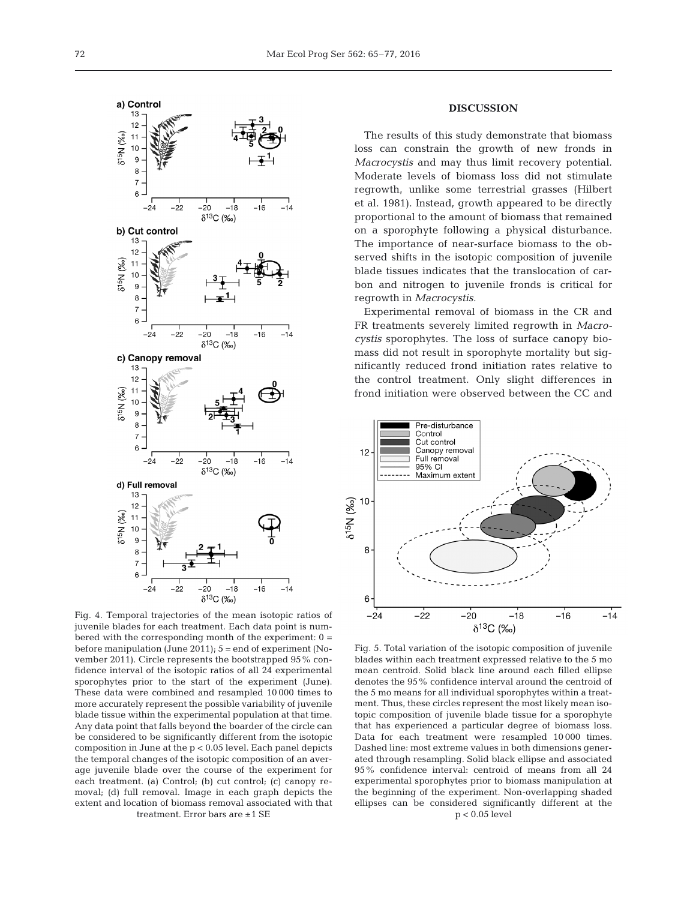

Fig. 4. Temporal trajectories of the mean isotopic ratios of juvenile blades for each treatment. Each data point is numbered with the corresponding month of the experiment: 0 = before manipulation (June 2011); 5 = end of experiment (November 2011). Circle represents the bootstrapped 95% confidence interval of the isotopic ratios of all 24 experimental sporophytes prior to the start of the experiment (June). These data were combined and resampled 10 000 times to more accurately represent the possible variability of juvenile blade tissue within the experimental population at that time. Any data point that falls beyond the boarder of the circle can be considered to be significantly different from the isotopic composition in June at the p < 0.05 level. Each panel depicts the temporal changes of the isotopic composition of an average juvenile blade over the course of the experiment for each treatment. (a) Control; (b) cut control; (c) canopy removal; (d) full removal. Image in each graph depicts the extent and location of biomass removal associated with that treatment. Error bars are ±1 SE

# **DISCUSSION**

The results of this study demonstrate that biomass loss can constrain the growth of new fronds in *Macrocystis* and may thus limit recovery potential. Moderate levels of biomass loss did not stimulate regrowth, unlike some terrestrial grasses (Hilbert et al. 1981). Instead, growth appeared to be directly proportional to the amount of biomass that remained on a sporophyte following a physical disturbance. The importance of near-surface biomass to the observed shifts in the isotopic composition of juvenile blade tissues indicates that the translocation of carbon and nitrogen to juvenile fronds is critical for regrowth in *Macrocystis.*

Experimental removal of biomass in the CR and FR treatments severely limited regrowth in *Macrocystis* sporophytes. The loss of surface canopy biomass did not result in sporophyte mortality but significantly reduced frond initiation rates relative to the control treatment. Only slight differences in frond initiation were observed between the CC and



Fig. 5. Total variation of the isotopic composition of juvenile blades within each treatment expressed relative to the 5 mo mean centroid. Solid black line around each filled ellipse denotes the 95% confidence interval around the centroid of the 5 mo means for all individual sporophytes within a treatment. Thus, these circles represent the most likely mean isotopic composition of juvenile blade tissue for a sporophyte that has experienced a particular degree of biomass loss. Data for each treatment were resampled 10 000 times. Dashed line: most extreme values in both dimensions generated through resampling. Solid black ellipse and associated 95% confidence interval: centroid of means from all 24 experimental sporophytes prior to biomass manipulation at the beginning of the experiment. Non-overlapping shaded ellipses can be considered significantly different at the p < 0.05 level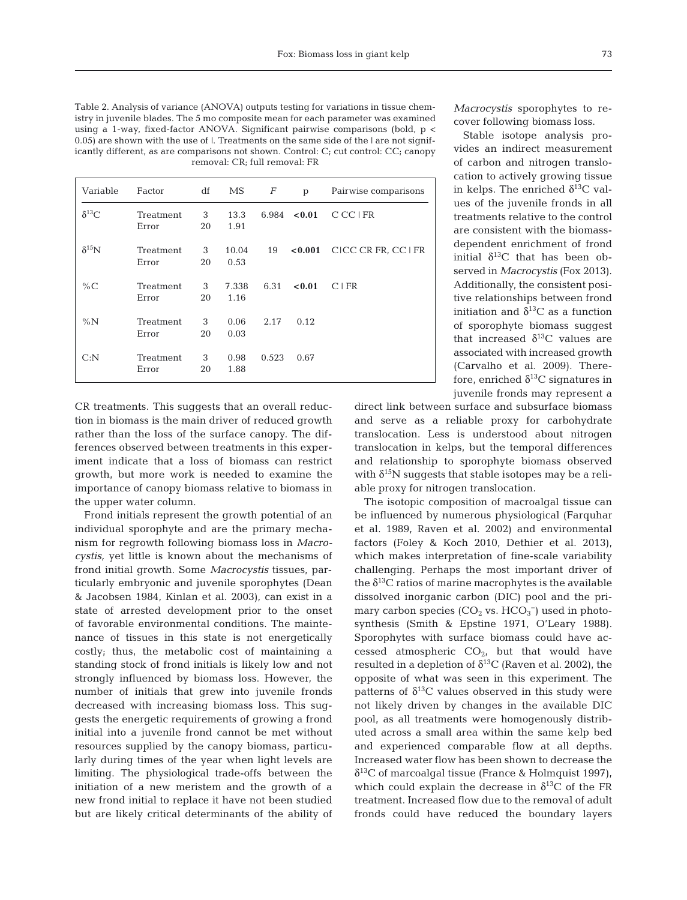Table 2. Analysis of variance (ANOVA) outputs testing for variations in tissue chemistry in juvenile blades. The 5 mo composite mean for each parameter was examined using a 1-way, fixed-factor ANOVA. Significant pairwise comparisons (bold, p < 0.05) are shown with the use of |. Treatments on the same side of the | are not significantly different, as are comparisons not shown. Control:  $C_i$  cut control:  $CC_j$  canopy removal: CR; full removal: FR

| Variable        | Factor             | df      | МS            | F     | p          | Pairwise comparisons |
|-----------------|--------------------|---------|---------------|-------|------------|----------------------|
| $\delta^{13}C$  | Treatment<br>Error | 3<br>20 | 13.3<br>1.91  | 6.984 | < 0.01     | C CC LFR             |
| $\delta^{15}$ N | Treatment<br>Error | 3<br>20 | 10.04<br>0.53 | 19    | ${<}0.001$ | CICC CR FR, CC I FR  |
| % $C$           | Treatment<br>Error | 3<br>20 | 7.338<br>1.16 | 6.31  | < 0.01     | C I FR               |
| $\%N$           | Treatment<br>Error | 3<br>20 | 0.06<br>0.03  | 2.17  | 0.12       |                      |
| C: N            | Treatment<br>Error | 3<br>20 | 0.98<br>1.88  | 0.523 | 0.67       |                      |

CR treatments. This suggests that an overall reduction in biomass is the main driver of reduced growth rather than the loss of the surface canopy. The differences observed between treatments in this experiment indicate that a loss of biomass can restrict growth, but more work is needed to examine the importance of canopy biomass relative to biomass in the upper water column.

Frond initials represent the growth potential of an individual sporophyte and are the primary mechanism for regrowth following biomass loss in *Macrocystis,* yet little is known about the mechanisms of frond initial growth. Some *Macrocystis* tissues, particularly embryonic and juvenile sporophytes (Dean & Jacobsen 1984, Kinlan et al. 2003), can exist in a state of arrested development prior to the onset of favorable environmental conditions. The maintenance of tissues in this state is not energetically costly; thus, the metabolic cost of maintaining a standing stock of frond initials is likely low and not strongly influenced by biomass loss. However, the number of initials that grew into juvenile fronds decreased with increasing biomass loss. This suggests the energetic requirements of growing a frond initial into a juvenile frond cannot be met without resources supplied by the canopy biomass, particularly during times of the year when light levels are limiting. The physiological trade-offs between the initiation of a new meristem and the growth of a new frond initial to replace it have not been studied but are likely critical determinants of the ability of *Macrocystis* sporophytes to recover following biomass loss.

Stable isotope analysis provides an indirect measurement of carbon and nitrogen translocation to actively growing tissue in kelps. The enriched  $\delta^{13}$ C values of the juvenile fronds in all treatments relative to the control are consistent with the biomassdependent enrichment of frond initial  $\delta^{13}C$  that has been observed in *Macrocystis* (Fox 2013). Additionally, the consistent positive relationships between frond initiation and  $\delta^{13}$ C as a function of sporophyte biomass suggest that increased  $\delta^{13}$ C values are associated with increased growth (Carvalho et al. 2009). Therefore, enriched  $\delta^{13}$ C signatures in juvenile fronds may represent a

direct link between surface and subsurface biomass and serve as a reliable proxy for carbohydrate translocation. Less is understood about nitrogen translocation in kelps, but the temporal differences and relationship to sporophyte biomass observed with  $\delta^{15}N$  suggests that stable isotopes may be a reliable proxy for nitrogen translocation.

The isotopic composition of macroalgal tissue can be influenced by numerous physiological (Farquhar et al. 1989, Raven et al. 2002) and environmental factors (Foley & Koch 2010, Dethier et al. 2013), which makes interpretation of fine-scale variability challenging. Perhaps the most important driver of the  $\delta^{13}$ C ratios of marine macrophytes is the available dissolved inorganic carbon (DIC) pool and the primary carbon species  $(CO_2$  vs.  $HCO_3^-$ ) used in photosynthesis (Smith & Epstine 1971, O'Leary 1988). Sporophytes with surface biomass could have accessed atmospheric  $CO<sub>2</sub>$ , but that would have resulted in a depletion of  $\delta^{13}$ C (Raven et al. 2002), the opposite of what was seen in this experiment. The patterns of  $\delta^{13}$ C values observed in this study were not likely driven by changes in the available DIC pool, as all treatments were homogenously distributed across a small area within the same kelp bed and experienced comparable flow at all depths. Increased water flow has been shown to decrease the  $\delta^{13}$ C of marcoalgal tissue (France & Holmquist 1997), which could explain the decrease in  $\delta^{13}$ C of the FR treatment. Increased flow due to the removal of adult fronds could have reduced the boundary layers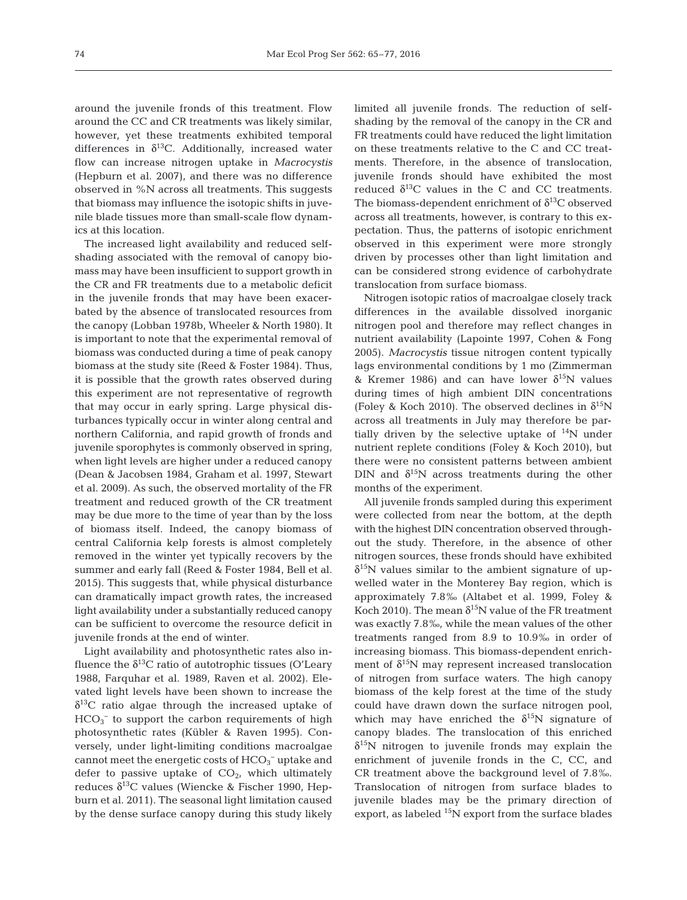around the juvenile fronds of this treatment. Flow around the CC and CR treatments was likely similar, however, yet these treatments exhibited temporal differences in  $\delta^{13}$ C. Additionally, increased water flow can increase nitrogen uptake in *Macrocystis* (Hepburn et al. 2007), and there was no difference observed in %N across all treatments. This suggests that biomass may influence the isotopic shifts in juvenile blade tissues more than small-scale flow dynamics at this location.

The increased light availability and reduced selfshading associated with the removal of canopy biomass may have been insufficient to support growth in the CR and FR treatments due to a metabolic deficit in the juvenile fronds that may have been exacerbated by the absence of translocated resources from the canopy (Lobban 1978b, Wheeler & North 1980). It is important to note that the experimental removal of biomass was conducted during a time of peak canopy biomass at the study site (Reed & Foster 1984). Thus, it is possible that the growth rates observed during this experiment are not representative of regrowth that may occur in early spring. Large physical disturbances typically occur in winter along central and northern California, and rapid growth of fronds and juvenile sporophytes is commonly observed in spring, when light levels are higher under a reduced canopy (Dean & Jacobsen 1984, Graham et al. 1997, Stewart et al. 2009). As such, the observed mortality of the FR treatment and reduced growth of the CR treatment may be due more to the time of year than by the loss of biomass itself. Indeed, the canopy biomass of central California kelp forests is almost completely removed in the winter yet typically recovers by the summer and early fall (Reed & Foster 1984, Bell et al. 2015). This suggests that, while physical disturbance can dramatically impact growth rates, the increased light availability under a substantially reduced canopy can be sufficient to overcome the resource deficit in juvenile fronds at the end of winter.

Light availability and photosynthetic rates also in fluence the  $\delta^{13}$ C ratio of autotrophic tissues (O'Leary 1988, Farquhar et al. 1989, Raven et al. 2002). Elevated light levels have been shown to increase the  $\delta^{13}$ C ratio algae through the increased uptake of  $HCO<sub>3</sub><sup>-</sup>$  to support the carbon requirements of high photosynthetic rates (Kübler & Raven 1995). Conversely, under light-limiting conditions macroalgae cannot meet the energetic costs of  $HCO_3^-$  uptake and defer to passive uptake of  $CO<sub>2</sub>$ , which ultimately reduces  $δ<sup>13</sup>C$  values (Wiencke & Fischer 1990, Hepburn et al. 2011). The seasonal light limitation caused by the dense surface canopy during this study likely

limited all juvenile fronds. The reduction of selfshading by the removal of the canopy in the CR and FR treatments could have reduced the light limitation on these treatments relative to the C and CC treatments. Therefore, in the absence of translocation, juvenile fronds should have exhibited the most reduced  $\delta^{13}$ C values in the C and CC treatments. The biomass-dependent enrichment of  $\delta^{13}$ C observed across all treatments, however, is contrary to this expectation. Thus, the patterns of isotopic enrichment observed in this experiment were more strongly driven by processes other than light limitation and can be considered strong evidence of carbohydrate translocation from surface biomass.

Nitrogen isotopic ratios of macroalgae closely track differences in the available dissolved inorganic nitrogen pool and therefore may reflect changes in nutrient availability (Lapointe 1997, Cohen & Fong 2005). *Macrocystis* tissue nitrogen content typically lags environmental conditions by 1 mo (Zimmerman & Kremer 1986) and can have lower  $\delta^{15}$ N values during times of high ambient DIN concentrations (Foley & Koch 2010). The observed declines in  $\delta^{15}N$ across all treatments in July may therefore be partially driven by the selective uptake of  $14N$  under nutrient replete conditions (Foley & Koch 2010), but there were no consistent patterns between ambient DIN and  $\delta^{15}N$  across treatments during the other months of the experiment.

All juvenile fronds sampled during this experiment were collected from near the bottom, at the depth with the highest DIN concentration observed throughout the study. Therefore, in the absence of other nitrogen sources, these fronds should have exhibited  $\delta^{15}$ N values similar to the ambient signature of upwelled water in the Monterey Bay region, which is approximately 7.8‰ (Altabet et al. 1999, Foley & Koch 2010). The mean  $\delta^{15}N$  value of the FR treatment was exactly 7.8‰, while the mean values of the other treatments ranged from 8.9 to 10.9‰ in order of increasing biomass. This biomass-dependent enrichment of  $\delta^{15}N$  may represent increased translocation of nitrogen from surface waters. The high canopy biomass of the kelp forest at the time of the study could have drawn down the surface nitrogen pool, which may have enriched the  $\delta^{15}N$  signature of canopy blades. The translocation of this enriched  $\delta^{15}$ N nitrogen to juvenile fronds may explain the enrichment of juvenile fronds in the C, CC, and CR treatment above the background level of 7.8‰. Translocation of nitrogen from surface blades to juvenile blades may be the primary direction of export, as labeled  $^{15}N$  export from the surface blades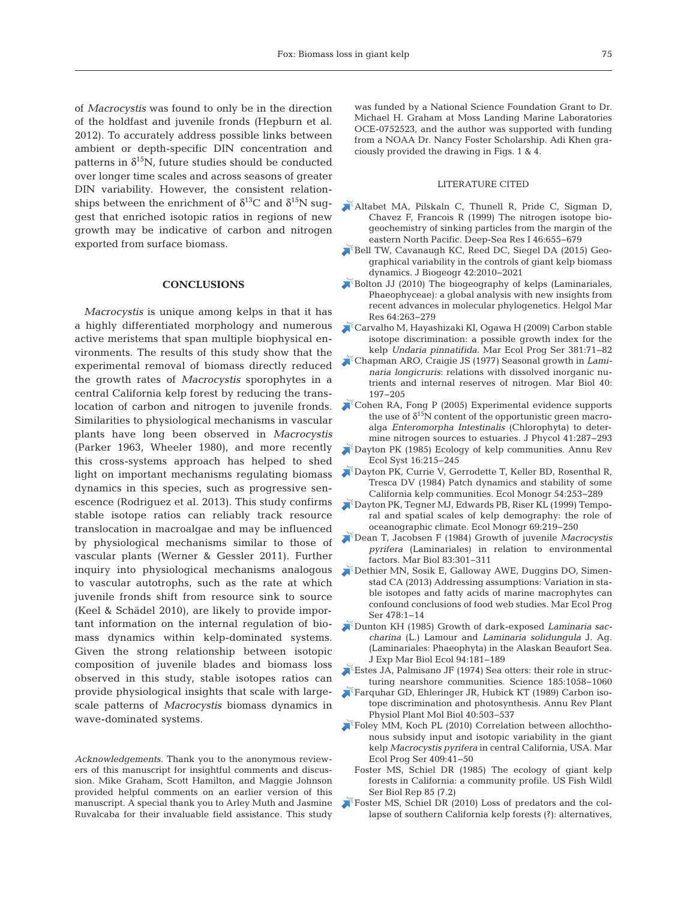of *Macrocystis* was found to only be in the direction of the holdfast and juvenile fronds (Hepburn et al. 2012). To accurately address possible links between ambient or depth-specific DIN concentration and patterns in  $\delta^{15}N$ , future studies should be conducted over longer time scales and across seasons of greater DIN variability. However, the consistent relationships between the enrichment of  $\delta^{13}$ C and  $\delta^{15}$ N suggest that enriched isotopic ratios in regions of new growth may be indicative of carbon and nitrogen exported from surface biomass.

## **CONCLUSIONS**

*Macrocystis* is unique among kelps in that it has a highly differentiated morphology and numerous active meristems that span multiple biophysical environments. The results of this study show that the experimental removal of biomass directly reduced the growth rates of *Macrocystis* sporophytes in a central California kelp forest by reducing the trans location of carbon and nitrogen to juvenile fronds. Similarities to physiological mechanisms in vascular plants have long been observed in *Macrocystis* (Parker 1963, Wheeler 1980), and more recently this cross-systems approach has helped to shed light on important mechanisms regulating biomass dynamics in this species, such as progressive senescence (Rodriguez et al. 2013). This study confirms stable isotope ratios can reliably track resource translocation in macroalgae and may be influenced by physiological mechanisms similar to those of vascular plants (Werner & Gessler 2011). Further inquiry into physiological mechanisms analogous to vascular autotrophs, such as the rate at which juvenile fronds shift from resource sink to source (Keel & Schädel 2010), are likely to provide important information on the internal regulation of biomass dynamics within kelp-dominated systems. Given the strong relationship between isotopic composition of juvenile blades and biomass loss observed in this study, stable isotopes ratios can provide physiological insights that scale with largescale patterns of *Macrocystis* biomass dynamics in wave-dominated systems.

*Acknowledgements.* Thank you to the anonymous reviewers of this manuscript for insightful comments and discussion. Mike Graham, Scott Hamilton, and Maggie Johnson provided helpful comments on an earlier version of this manuscript. A special thank you to Arley Muth and Jasmine Ruvalcaba for their invaluable field assistance. This study

was funded by a National Science Foundation Grant to Dr. Michael H. Graham at Moss Landing Marine Laboratories OCE-0752523, and the author was supported with funding from a NOAA Dr. Nancy Foster Scholarship. Adi Khen graciously provided the drawing in Figs. 1 & 4.

#### LITERATURE CITED

- [Altabet MA, Pilskaln C, Thunell R, Pride C, Sigman D,](https://doi.org/10.1016/S0967-0637(98)00084-3) Chavez F, Francois R (1999) The nitrogen isotope bio geochemistry of sinking particles from the margin of the eastern North Pacific. Deep-Sea Res I 46:655-679
- [Bell TW, Cavanaugh KC, Reed DC, Siegel DA \(2015\) Geo](https://doi.org/10.1111/jbi.12550)graphical variability in the controls of giant kelp biomass dynamics. J Biogeogr 42: 2010−2021
- [Bolton JJ \(2010\) The biogeography of kelps \(Laminariales,](https://doi.org/10.1007/s10152-010-0211-6) Phaeophyceae): a global analysis with new insights from recent advances in molecular phylogenetics. Helgol Mar Res 64: 263−279
- [Carvalho M, Hayashizaki KI, Ogawa H \(2009\) Carbon stable](https://doi.org/10.3354/meps07948) isotope discrimination: a possible growth index for the kelp *Undaria pinnatifida.* Mar Ecol Prog Ser 381:71-82
- [Chapman ARO, Craigie JS \(1977\) Seasonal growth in](https://doi.org/10.1007/BF00390875) *Laminaria longicruris*: relations with dissolved inorganic nutrients and internal reserves of nitrogen. Mar Biol 40: 197−205
- [Cohen RA, Fong P \(2005\) Experimental evidence supports](https://doi.org/10.1111/j.1529-8817.2005.04022.x) the use of  $\delta^{15}N$  content of the opportunistic green macroalga *Enteromorpha Intestinalis* (Chlorophyta) to determine nitrogen sources to estuaries. J Phycol 41:287−293
- [Dayton PK \(1985\) Ecology of kelp communities. Annu Rev](https://doi.org/10.1146/annurev.es.16.110185.001243) Ecol Syst 16: 215−245
- [Dayton PK, Currie V, Gerrodette T, Keller BD, Rosenthal R,](https://doi.org/10.2307/1942498) Tresca DV (1984) Patch dynamics and stability of some California kelp communities. Ecol Monogr 54:253-289
- [Dayton PK, Tegner MJ, Edwards PB, Riser KL \(1999\) Tempo](https://doi.org/10.1890/0012-9615(1999)069%5b0219%3ATASSOK%5d2.0.CO%3B2)ral and spatial scales of kelp demography: the role of oceanographic climate. Ecol Monogr 69:219-250
- [Dean T, Jacobsen F \(1984\) Growth of juvenile](https://doi.org/10.1007/BF00397463) *Macrocystis pyrifera* (Laminariales) in relation to environmental factors. Mar Biol 83: 301−311
- [Dethier MN, Sosik E, Galloway AWE, Duggins DO, Simen](https://doi.org/10.3354/meps10310)stad CA (2013) Addressing assumptions: Variation in stable isotopes and fatty acids of marine macrophytes can confound conclusions of food web studies. Mar Ecol Prog Ser 478: 1−14
- [Dunton KH \(1985\) Growth of dark-exposed](https://doi.org/10.1016/0022-0981(85)90057-7) *Laminaria saccharina* (L.) Lamour and *Laminaria solidungula* J. Ag. (Laminariales:Phaeophyta) in the Alaskan Beaufort Sea. J Exp Mar Biol Ecol 94: 181−189
- Estes JA, Palmisano JF (1974) Sea otters: their role in structuring nearshore communities. Science 185:1058-1060
- [Farquhar GD, Ehleringer JR, Hubick KT \(1989\) Carbon iso](https://doi.org/10.1146/annurev.pp.40.060189.002443)tope discrimination and photosynthesis. Annu Rev Plant Physiol Plant Mol Biol 40:503-537
- [Foley MM, Koch PL \(2010\) Correlation between allochtho](https://doi.org/10.3354/meps08600)nous subsidy input and isotopic variability in the giant kelp *Macrocystis pyrifera* in central California, USA. Mar Ecol Prog Ser 409:41-50
- Foster MS, Schiel DR (1985) The ecology of giant kelp forests in California: a community profile. US Fish Wildl Ser Biol Rep 85 (7.2)
- [Foster MS, Schiel DR \(2010\) Loss of predators and the col](https://doi.org/10.1016/j.jembe.2010.07.002)lapse of southern California kelp forests (?): alternatives,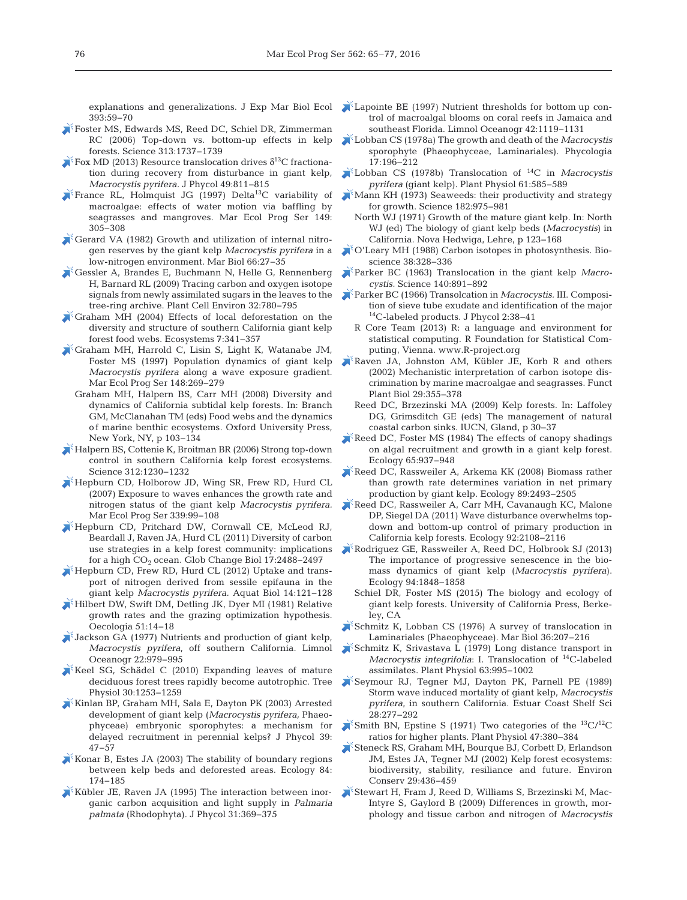explanations and generalizations. J Exp Mar Biol Ecol 393: 59−70

- [Foster MS, Edwards MS, Reed DC, Schiel DR, Zimmerman](https://doi.org/10.1126/science.313.5794.1737c) RC (2006) Top-down vs. bottom-up effects in kelp forests. Science 313: 1737−1739
- $\lambda^*$  [Fox MD \(2013\) Resource translocation drives](http://www.ncbi.nlm.nih.gov/entrez/query.fcgi?cmd=Retrieve&db=PubMed&list_uids=27007306&dopt=Abstract)  $\delta^{13}$ C fractionation during recovery from disturbance in giant kelp, *Macrocystis pyrifera.* J Phycol 49:811-815
- [France RL, Holmquist JG \(1997\) Delta13C variability of](https://doi.org/10.3354/meps149305) macroalgae: effects of water motion via baffling by seagrasses and mangroves. Mar Ecol Prog Ser 149: 305−308
- [Gerard VA \(1982\) Growth and utilization of internal nitro](https://doi.org/10.1007/BF00397251)gen reserves by the giant kelp *Macrocystis pyrifera* in a low-nitrogen environment. Mar Biol 66: 27−35
- [Gessler A, Brandes E, Buchmann N, Helle G, Rennenberg](https://doi.org/10.1111/j.1365-3040.2009.01957.x) H, Barnard RL (2009) Tracing carbon and oxygen isotope signals from newly assimilated sugars in the leaves to the tree-ring archive. Plant Cell Environ 32: 780−795
- [Graham MH \(2004\) Effects of local deforestation on the](https://doi.org/10.1007/s10021-003-0245-6) diversity and structure of southern California giant kelp forest food webs. Ecosystems 7: 341−357
- [Graham MH, Harrold C, Lisin S, Light K, Watanabe JM,](https://doi.org/10.3354/meps148269) Foster MS (1997) Population dynamics of giant kelp *Macrocystis pyrifera* along a wave exposure gradient. Mar Ecol Prog Ser 148:269-279
	- Graham MH, Halpern BS, Carr MH (2008) Diversity and dynamics of California subtidal kelp forests. In: Branch GM, McClanahan TM (eds) Food webs and the dynamics of marine benthic ecosystems. Oxford University Press, New York, NY, p 103−134
- [Halpern BS, Cottenie K, Broitman BR \(2006\) Strong top-down](https://doi.org/10.1126/science.1128613) control in southern California kelp forest ecosystems. Science 312: 1230−1232
- [Hepburn CD, Holborow JD, Wing SR, Frew RD, Hurd CL](https://doi.org/10.3354/meps339099) (2007) Exposure to waves enhances the growth rate and nitrogen status of the giant kelp *Macrocystis pyrifera.* Mar Ecol Prog Ser 339:99-108
- [Hepburn CD, Pritchard DW, Cornwall CE, McLeod RJ,](https://doi.org/10.1111/j.1365-2486.2011.02411.x) Beardall J, Raven JA, Hurd CL (2011) Diversity of carbon use strategies in a kelp forest community: implications for a high CO<sub>2</sub> ocean. Glob Change Biol 17:2488-2497
- $\mathbb{Z}$  [Hepburn CD, Frew RD, Hurd CL \(2012\) Uptake and trans](https://doi.org/10.3354/ab00382)port of nitrogen derived from sessile epifauna in the giant kelp *Macrocystis pyrifera.* Aquat Biol 14: 121−128
- [Hilbert DW, Swift DM, Detling JK, Dyer MI \(1981\) Relative](https://doi.org/10.1007/BF00344645) growth rates and the grazing optimization hypothesis. Oecologia 51: 14−18
- [Jackson GA \(1977\) Nutrients and production of giant kelp,](https://doi.org/10.4319/lo.1977.22.6.0979) *Macrocystis pyrifera*, off southern California. Limnol Oceanogr 22: 979−995
- Keel SG, Schädel C  $(2010)$  Expanding leaves of mature deciduous forest trees rapidly become autotrophic. Tree Physiol 30: 1253−1259
- [Kinlan BP, Graham MH, Sala E, Dayton PK \(2003\) Arrested](https://doi.org/10.1046/j.1529-8817.2003.02087.x) development of giant kelp (*Macrocystis pyrifera,* Phaeophyceae) embryonic sporophytes:a mechanism for delayed recruitment in perennial kelps? J Phycol 39: 47−57
- [Konar B, Estes JA \(2003\) The stability of boundary regions](https://doi.org/10.1890/0012-9658(2003)084%5b0174%3ATSOBRB%5d2.0.CO%3B2) between kelp beds and deforested areas. Ecology 84: 174−185
- [Kübler JE, Raven JA \(1995\) The interaction between inor](https://doi.org/10.1111/j.0022-3646.1995.00369.x)ganic carbon acquisition and light supply in *Palmaria palmata* (Rhodophyta). J Phycol 31: 369−375
- [Lapointe BE \(1997\) Nutrient thresholds for bottom up con](https://doi.org/10.4319/lo.1997.42.5_part_2.1119)trol of macroalgal blooms on coral reefs in Jamaica and southeast Florida. Limnol Oceanogr 42: 1119−1131
- [Lobban CS \(1978a\) The growth and death of the](https://doi.org/10.2216/i0031-8884-17-2-196.1) *Macrocystis* sporophyte (Phaeophyceae, Laminariales). Phycologia 17: 196−212
- [Lobban CS \(1978b\) Translocation of](https://doi.org/10.1104/pp.61.4.585) 14C in *Macrocystis pyrifera* (giant kelp). Plant Physiol 61:585-589
- Mann KH (1973) Seaweeds: their productivity and strategy for growth. Science 182: 975−981
	- North WJ (1971) Growth of the mature giant kelp. In: North WJ (ed) The biology of giant kelp beds (*Macrocystis*) in California. Nova Hedwiga, Lehre, p 123−168
- [O'Leary MH \(1988\) Carbon isotopes in photosynthesis. Bio](https://doi.org/10.2307/1310735)science 38:328-336
- [Parker BC \(1963\) Translocation in the giant kelp](https://doi.org/10.1126/science.140.3569.891) *Macro cystis.* Science 140: 891−892
- [Parker BC \(1966\) Transolcation in](https://doi.org/10.1111/j.1529-8817.1966.tb04590.x) *Macrocystis.* III. Composition of sieve tube exudate and identification of the major <sup>14</sup>C-labeled products. J Phycol 2:38-41
	- R Core Team (2013) R: a language and environment for statistical computing. R Foundation for Statistical Computing, Vienna. www.R-project.org
- [Raven JA, Johnston AM, Kübler JE, Korb R and others](https://doi.org/10.1071/PP01201) (2002) Mechanistic interpretation of carbon isotope discrimination by marine macroalgae and seagrasses. Funct Plant Biol 29:355-378
	- Reed DC, Brzezinski MA (2009) Kelp forests. In: Laffoley DG, Grimsditch GE (eds) The management of natural coastal carbon sinks. IUCN, Gland, p 30−37
- [Reed DC, Foster MS \(1984\) The effects of canopy shadings](https://doi.org/10.2307/1938066) on algal recruitment and growth in a giant kelp forest. Ecology 65:937–948
- [Reed DC, Rassweiler A, Arkema KK \(2008\) Biomass rather](https://doi.org/10.1890/07-1106.1) than growth rate determines variation in net primary production by giant kelp. Ecology 89:2493-2505
- [Reed DC, Rassweiler A, Carr MH, Cavanaugh KC, Malone](https://doi.org/10.1890/11-0377.1) DP, Siegel DA (2011) Wave disturbance overwhelms topdown and bottom-up control of primary production in California kelp forests. Ecology 92:2108-2116
- [Rodriguez GE, Rassweiler A, Reed DC, Holbrook SJ \(2013\)](https://doi.org/10.1890/12-1340.1) The importance of progressive senescence in the biomass dynamics of giant kelp (*Macrocystis pyrifera*). Ecology 94: 1848−1858
	- Schiel DR, Foster MS (2015) The biology and ecology of giant kelp forests. University of California Press, Berkeley, CA
- $\blacktriangleright$  [Schmitz K, Lobban CS \(1976\) A survey of translocation in](https://doi.org/10.1007/BF00389281) Laminariales (Phaeophyceae). Mar Biol 36:207-216
- [Schmitz K, Srivastava L \(1979\) Long distance transport in](https://doi.org/10.1104/pp.63.6.995) *Macrocystis integrifolia*:I. Translocation of 14C-labeled assimilates. Plant Physiol 63: 995−1002
- [Seymour RJ, Tegner MJ, Dayton PK, Parnell PE \(1989\)](https://doi.org/10.1016/0272-7714(89)90018-8) Storm wave induced mortality of giant kelp, *Macrocystis pyrifera*, in southern California. Estuar Coast Shelf Sci 28: 277−292
- [Smith BN, Epstine S \(1971\) Two categories of the](https://doi.org/10.1104/pp.47.3.380)  ${}^{13}C/{}^{12}C$ ratios for higher plants. Plant Physiol 47:380-384
- [Steneck RS, Graham MH, Bourque BJ, Corbett D, Erlandson](https://doi.org/10.1017/S0376892902000322) JM, Estes JA, Tegner MJ (2002) Kelp forest ecosystems: biodiversity, stability, resiliance and future. Environ Conserv 29:436-459
- [Stewart H, Fram J, Reed D, Williams S, Brzezinski M, Mac-](https://doi.org/10.3354/meps07752)Intyre S, Gaylord B (2009) Differences in growth, morphology and tissue carbon and nitrogen of *Macrocystis*